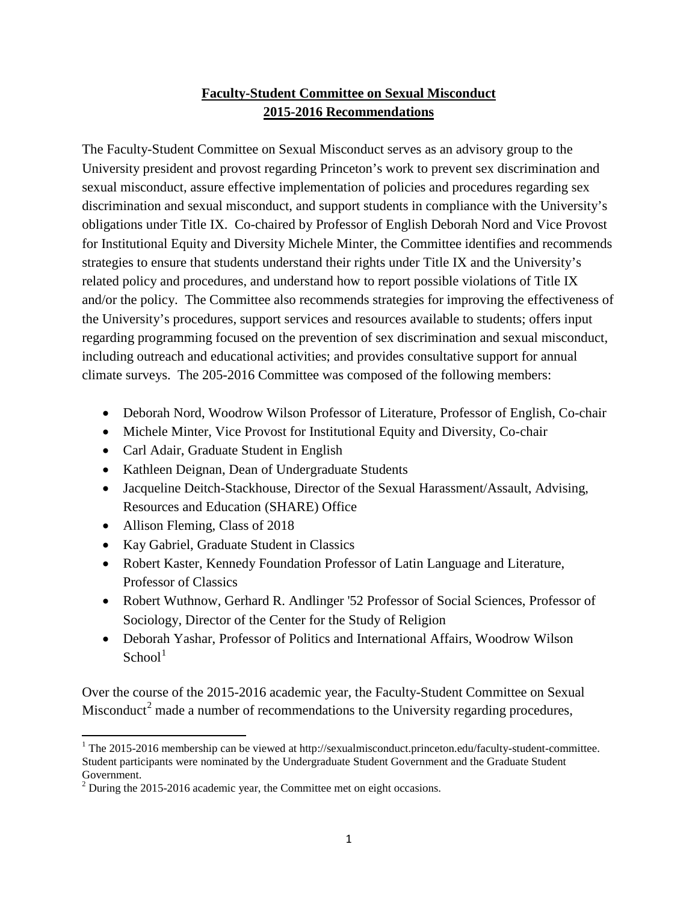## **Faculty-Student Committee on Sexual Misconduct 2015-2016 Recommendations**

The Faculty-Student Committee on Sexual Misconduct serves as an advisory group to the University president and provost regarding Princeton's work to prevent sex discrimination and sexual misconduct, assure effective implementation of policies and procedures regarding sex discrimination and sexual misconduct, and support students in compliance with the University's obligations under Title IX. Co-chaired by Professor of English Deborah Nord and Vice Provost for Institutional Equity and Diversity Michele Minter, the Committee identifies and recommends strategies to ensure that students understand their rights under Title IX and the University's related policy and procedures, and understand how to report possible violations of Title IX and/or the policy. The Committee also recommends strategies for improving the effectiveness of the University's procedures, support services and resources available to students; offers input regarding programming focused on the prevention of sex discrimination and sexual misconduct, including outreach and educational activities; and provides consultative support for annual climate surveys. The 205-2016 Committee was composed of the following members:

- Deborah Nord, Woodrow Wilson Professor of Literature, Professor of English, Co-chair
- Michele Minter, Vice Provost for Institutional Equity and Diversity, Co-chair
- Carl Adair, Graduate Student in English
- Kathleen Deignan, Dean of Undergraduate Students
- Jacqueline Deitch-Stackhouse, Director of the Sexual Harassment/Assault, Advising, Resources and Education (SHARE) Office
- Allison Fleming, Class of 2018
- Kay Gabriel, Graduate Student in Classics
- Robert Kaster, Kennedy Foundation Professor of Latin Language and Literature, Professor of Classics
- Robert Wuthnow, Gerhard R. Andlinger '52 Professor of Social Sciences, Professor of Sociology, Director of the Center for the Study of Religion
- Deborah Yashar, Professor of Politics and International Affairs, Woodrow Wilson  $School<sup>1</sup>$  $School<sup>1</sup>$  $School<sup>1</sup>$

Over the course of the 2015-2016 academic year, the Faculty-Student Committee on Sexual Misconduct<sup>[2](#page-0-1)</sup> made a number of recommendations to the University regarding procedures,

<span id="page-0-0"></span><sup>&</sup>lt;sup>1</sup> The 2015-2016 membership can be viewed at [http://sexualmisconduct.princeton.edu/faculty-student-committee.](http://sexualmisconduct.princeton.edu/faculty-student-committee) Student participants were nominated by the Undergraduate Student Government and the Graduate Student Government.

<span id="page-0-1"></span> $2$  During the 2015-2016 academic year, the Committee met on eight occasions.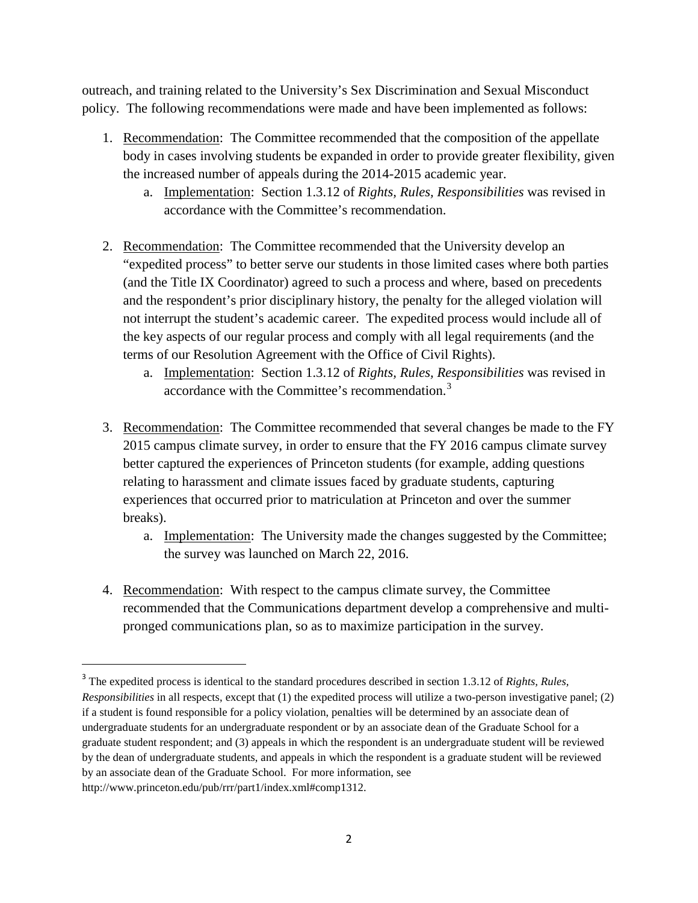outreach, and training related to the University's Sex Discrimination and Sexual Misconduct policy. The following recommendations were made and have been implemented as follows:

- 1. Recommendation: The Committee recommended that the composition of the appellate body in cases involving students be expanded in order to provide greater flexibility, given the increased number of appeals during the 2014-2015 academic year.
	- a. Implementation: Section 1.3.12 of *Rights, Rules, Responsibilities* was revised in accordance with the Committee's recommendation.
- 2. Recommendation: The Committee recommended that the University develop an "expedited process" to better serve our students in those limited cases where both parties (and the Title IX Coordinator) agreed to such a process and where, based on precedents and the respondent's prior disciplinary history, the penalty for the alleged violation will not interrupt the student's academic career. The expedited process would include all of the key aspects of our regular process and comply with all legal requirements (and the terms of our Resolution Agreement with the Office of Civil Rights).
	- a. Implementation: Section 1.3.12 of *Rights, Rules, Responsibilities* was revised in accordance with the Committee's recommendation.[3](#page-1-0)
- 3. Recommendation: The Committee recommended that several changes be made to the FY 2015 campus climate survey, in order to ensure that the FY 2016 campus climate survey better captured the experiences of Princeton students (for example, adding questions relating to harassment and climate issues faced by graduate students, capturing experiences that occurred prior to matriculation at Princeton and over the summer breaks).
	- a. Implementation: The University made the changes suggested by the Committee; the survey was launched on March 22, 2016.
- 4. Recommendation: With respect to the campus climate survey, the Committee recommended that the Communications department develop a comprehensive and multipronged communications plan, so as to maximize participation in the survey.

<span id="page-1-0"></span> <sup>3</sup> The expedited process is identical to the standard procedures described in section 1.3.12 of *Rights, Rules, Responsibilities* in all respects, except that (1) the expedited process will utilize a two-person investigative panel; (2) if a student is found responsible for a policy violation, penalties will be determined by an associate dean of undergraduate students for an undergraduate respondent or by an associate dean of the Graduate School for a graduate student respondent; and (3) appeals in which the respondent is an undergraduate student will be reviewed by the dean of undergraduate students, and appeals in which the respondent is a graduate student will be reviewed by an associate dean of the Graduate School. For more information, see [http://www.princeton.edu/pub/rrr/part1/index.xml#comp1312.](http://www.princeton.edu/pub/rrr/part1/index.xml#comp1312)